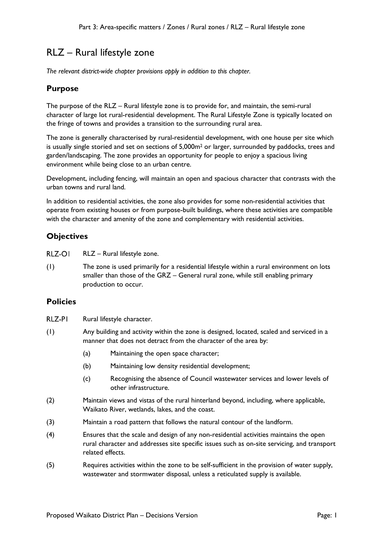# RLZ – Rural lifestyle zone

*The relevant district-wide chapter provisions apply in addition to this chapter.* 

# **Purpose**

The purpose of the RLZ – Rural lifestyle zone is to provide for, and maintain, the semi-rural character of large lot rural-residential development. The Rural Lifestyle Zone is typically located on the fringe of towns and provides a transition to the surrounding rural area.

The zone is generally characterised by rural-residential development, with one house per site which is usually single storied and set on sections of 5,000m<sup>2</sup> or larger, surrounded by paddocks, trees and garden/landscaping. The zone provides an opportunity for people to enjoy a spacious living environment while being close to an urban centre.

Development, including fencing, will maintain an open and spacious character that contrasts with the urban towns and rural land.

In addition to residential activities, the zone also provides for some non-residential activities that operate from existing houses or from purpose-built buildings, where these activities are compatible with the character and amenity of the zone and complementary with residential activities.

# **Objectives**

RLZ-OI RLZ – Rural lifestyle zone.

(1) The zone is used primarily for a residential lifestyle within a rural environment on lots smaller than those of the GRZ – General rural zone, while still enabling primary production to occur.

# **Policies**

- RLZ-PI Rural lifestyle character.
- (1) Any building and activity within the zone is designed, located, scaled and serviced in a manner that does not detract from the character of the area by:
	- (a) Maintaining the open space character;
	- (b) Maintaining low density residential development;
	- (c) Recognising the absence of Council wastewater services and lower levels of other infrastructure.
- (2) Maintain views and vistas of the rural hinterland beyond, including, where applicable, Waikato River, wetlands, lakes, and the coast.
- (3) Maintain a road pattern that follows the natural contour of the landform.
- (4) Ensures that the scale and design of any non-residential activities maintains the open rural character and addresses site specific issues such as on-site servicing, and transport related effects.
- (5) Requires activities within the zone to be self-sufficient in the provision of water supply, wastewater and stormwater disposal, unless a reticulated supply is available.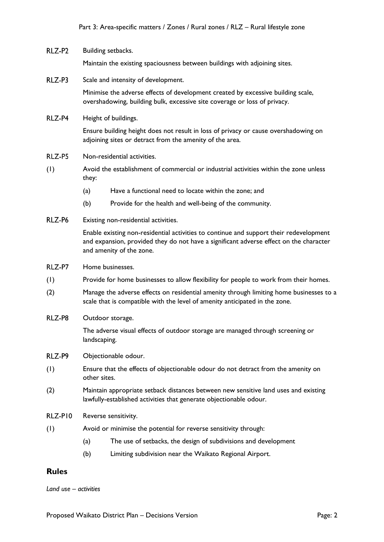#### RLZ-P2 Building setbacks.

Maintain the existing spaciousness between buildings with adjoining sites.

RLZ-P3 Scale and intensity of development.

> Minimise the adverse effects of development created by excessive building scale, overshadowing, building bulk, excessive site coverage or loss of privacy.

RLZ-P4 Height of buildings.

> Ensure building height does not result in loss of privacy or cause overshadowing on adjoining sites or detract from the amenity of the area.

- RLZ-P5 Non-residential activities.
- (1) Avoid the establishment of commercial or industrial activities within the zone unless they:
	- (a) Have a functional need to locate within the zone; and
	- (b) Provide for the health and well-being of the community.
- RLZ-P6 Existing non-residential activities.

Enable existing non-residential activities to continue and support their redevelopment and expansion, provided they do not have a significant adverse effect on the character and amenity of the zone.

- RLZ-P7 Home businesses.
- (1) Provide for home businesses to allow flexibility for people to work from their homes.
- (2) Manage the adverse effects on residential amenity through limiting home businesses to a scale that is compatible with the level of amenity anticipated in the zone.
- RLZ-P8 Outdoor storage.

The adverse visual effects of outdoor storage are managed through screening or landscaping.

- RLZ-P9 Objectionable odour.
- (1) Ensure that the effects of objectionable odour do not detract from the amenity on other sites.
- (2) Maintain appropriate setback distances between new sensitive land uses and existing lawfully-established activities that generate objectionable odour.

RLZ-PIO Reverse sensitivity.

- (1) Avoid or minimise the potential for reverse sensitivity through:
	- (a) The use of setbacks, the design of subdivisions and development
	- (b) Limiting subdivision near the Waikato Regional Airport.

# **Rules**

*Land use – activities*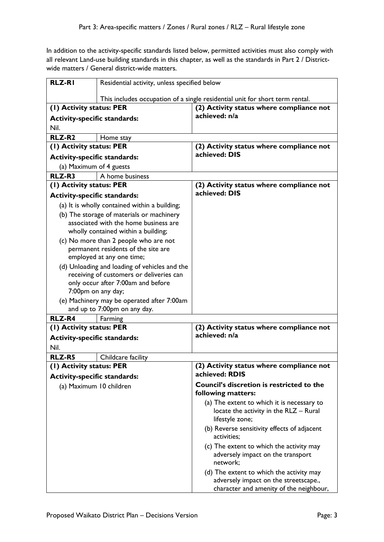In addition to the activity-specific standards listed below, permitted activities must also comply with all relevant Land-use building standards in this chapter, as well as the standards in Part 2 / Districtwide matters / General district-wide matters.

| <b>RLZ-RI</b>                                                  | Residential activity, unless specified below                                 |                                                                                  |
|----------------------------------------------------------------|------------------------------------------------------------------------------|----------------------------------------------------------------------------------|
|                                                                |                                                                              |                                                                                  |
|                                                                |                                                                              | This includes occupation of a single residential unit for short term rental.     |
| (1) Activity status: PER                                       |                                                                              | (2) Activity status where compliance not                                         |
| <b>Activity-specific standards:</b>                            |                                                                              | achieved: n/a                                                                    |
| Nil.                                                           |                                                                              |                                                                                  |
| RLZ-R <sub>2</sub>                                             | Home stay                                                                    |                                                                                  |
| (1) Activity status: PER                                       |                                                                              | (2) Activity status where compliance not                                         |
| <b>Activity-specific standards:</b>                            |                                                                              | achieved: DIS                                                                    |
| (a) Maximum of 4 guests                                        |                                                                              |                                                                                  |
| RLZ-R3                                                         | A home business                                                              |                                                                                  |
| (1) Activity status: PER                                       |                                                                              | (2) Activity status where compliance not                                         |
| <b>Activity-specific standards:</b>                            |                                                                              | achieved: DIS                                                                    |
|                                                                | (a) It is wholly contained within a building;                                |                                                                                  |
|                                                                | (b) The storage of materials or machinery                                    |                                                                                  |
|                                                                | associated with the home business are                                        |                                                                                  |
|                                                                | wholly contained within a building;                                          |                                                                                  |
|                                                                | (c) No more than 2 people who are not<br>permanent residents of the site are |                                                                                  |
|                                                                | employed at any one time;                                                    |                                                                                  |
|                                                                | (d) Unloading and loading of vehicles and the                                |                                                                                  |
|                                                                | receiving of customers or deliveries can                                     |                                                                                  |
|                                                                | only occur after 7:00am and before                                           |                                                                                  |
| 7:00pm on any day;                                             |                                                                              |                                                                                  |
|                                                                | (e) Machinery may be operated after 7:00am                                   |                                                                                  |
|                                                                | and up to 7:00pm on any day.                                                 |                                                                                  |
| <b>RLZ-R4</b><br>(I) Activity status: PER                      | Farming                                                                      | (2) Activity status where compliance not                                         |
|                                                                |                                                                              | achieved: n/a                                                                    |
| <b>Activity-specific standards:</b><br>Nil.                    |                                                                              |                                                                                  |
|                                                                |                                                                              |                                                                                  |
| <b>RLZ-R5</b><br>(1) Activity status: PER                      | Childcare facility                                                           | (2) Activity status where compliance not                                         |
|                                                                |                                                                              | achieved: RDIS                                                                   |
| <b>Activity-specific standards:</b><br>(a) Maximum 10 children |                                                                              | Council's discretion is restricted to the                                        |
|                                                                |                                                                              | following matters:                                                               |
|                                                                |                                                                              | (a) The extent to which it is necessary to                                       |
|                                                                |                                                                              | locate the activity in the RLZ - Rural<br>lifestyle zone;                        |
|                                                                |                                                                              | (b) Reverse sensitivity effects of adjacent<br>activities;                       |
|                                                                |                                                                              | (c) The extent to which the activity may                                         |
|                                                                |                                                                              | adversely impact on the transport<br>network;                                    |
|                                                                |                                                                              | (d) The extent to which the activity may                                         |
|                                                                |                                                                              | adversely impact on the streetscape.,<br>character and amenity of the neighbour, |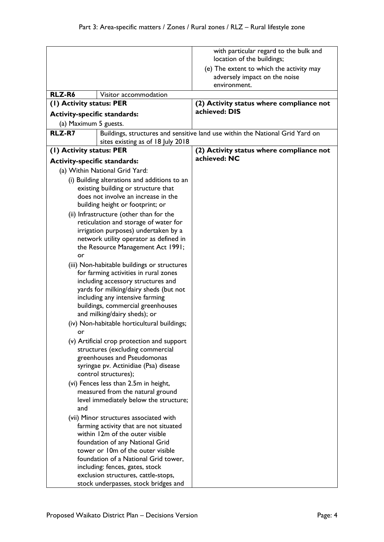|                                        |                                                                                  | with particular regard to the bulk and<br>location of the buildings;                      |
|----------------------------------------|----------------------------------------------------------------------------------|-------------------------------------------------------------------------------------------|
|                                        |                                                                                  | (e) The extent to which the activity may<br>adversely impact on the noise<br>environment. |
| RLZ-R6                                 | Visitor accommodation                                                            |                                                                                           |
| (1) Activity status: PER               |                                                                                  | (2) Activity status where compliance not                                                  |
| <b>Activity-specific standards:</b>    |                                                                                  | achieved: DIS                                                                             |
| (a) Maximum 5 guests.                  |                                                                                  |                                                                                           |
| <b>RLZ-R7</b>                          |                                                                                  | Buildings, structures and sensitive land use within the National Grid Yard on             |
|                                        | sites existing as of 18 July 2018                                                |                                                                                           |
| (1) Activity status: PER               |                                                                                  | (2) Activity status where compliance not                                                  |
| <b>Activity-specific standards:</b>    |                                                                                  | achieved: NC                                                                              |
|                                        | (a) Within National Grid Yard:                                                   |                                                                                           |
|                                        | (i) Building alterations and additions to an                                     |                                                                                           |
|                                        | existing building or structure that                                              |                                                                                           |
|                                        | does not involve an increase in the                                              |                                                                                           |
|                                        | building height or footprint; or                                                 |                                                                                           |
|                                        | (ii) Infrastructure (other than for the<br>reticulation and storage of water for |                                                                                           |
|                                        | irrigation purposes) undertaken by a                                             |                                                                                           |
|                                        | network utility operator as defined in                                           |                                                                                           |
|                                        | the Resource Management Act 1991;                                                |                                                                                           |
| or                                     |                                                                                  |                                                                                           |
|                                        | (iii) Non-habitable buildings or structures                                      |                                                                                           |
|                                        | for farming activities in rural zones                                            |                                                                                           |
| including accessory structures and     |                                                                                  |                                                                                           |
|                                        | yards for milking/dairy sheds (but not<br>including any intensive farming        |                                                                                           |
|                                        | buildings, commercial greenhouses                                                |                                                                                           |
|                                        | and milking/dairy sheds); or                                                     |                                                                                           |
|                                        | (iv) Non-habitable horticultural buildings;                                      |                                                                                           |
| or.                                    |                                                                                  |                                                                                           |
|                                        | (v) Artificial crop protection and support                                       |                                                                                           |
|                                        | structures (excluding commercial                                                 |                                                                                           |
|                                        | greenhouses and Pseudomonas<br>syringae pv. Actinidiae (Psa) disease             |                                                                                           |
| control structures);                   |                                                                                  |                                                                                           |
| (vi) Fences less than 2.5m in height,  |                                                                                  |                                                                                           |
|                                        | measured from the natural ground                                                 |                                                                                           |
| level immediately below the structure; |                                                                                  |                                                                                           |
| and                                    |                                                                                  |                                                                                           |
|                                        | (vii) Minor structures associated with                                           |                                                                                           |
|                                        | farming activity that are not situated<br>within 12m of the outer visible        |                                                                                           |
|                                        | foundation of any National Grid                                                  |                                                                                           |
|                                        | tower or 10m of the outer visible                                                |                                                                                           |
|                                        | foundation of a National Grid tower,                                             |                                                                                           |
|                                        | including: fences, gates, stock                                                  |                                                                                           |
| exclusion structures, cattle-stops,    |                                                                                  |                                                                                           |
| stock underpasses, stock bridges and   |                                                                                  |                                                                                           |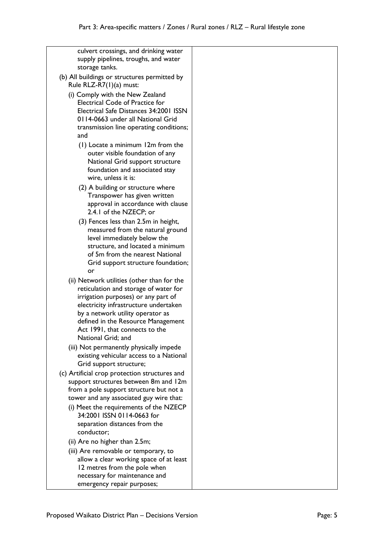culvert crossings, and drinking water supply pipelines, troughs, and water storage tanks. (b) All buildings or structures permitted by Rule RLZ-R7(1)(a) must: (i) Comply with the New Zealand Electrical Code of Practice for Electrical Safe Distances 34:2001 ISSN 0114-0663 under all National Grid transmission line operating conditions; and (1) Locate a minimum 12m from the outer visible foundation of any National Grid support structure foundation and associated stay wire, unless it is: (2) A building or structure where Transpower has given written approval in accordance with clause 2.4.1 of the NZECP; or (3) Fences less than 2.5m in height, measured from the natural ground level immediately below the structure, and located a minimum of 5m from the nearest National Grid support structure foundation; or (ii) Network utilities (other than for the reticulation and storage of water for irrigation purposes) or any part of electricity infrastructure undertaken by a network utility operator as defined in the Resource Management Act 1991, that connects to the National Grid; and (iii) Not permanently physically impede existing vehicular access to a National Grid support structure; (c) Artificial crop protection structures and support structures between 8m and 12m from a pole support structure but not a tower and any associated guy wire that: (i) Meet the requirements of the NZECP 34:2001 ISSN 0114-0663 for separation distances from the conductor; (ii) Are no higher than 2.5m; (iii) Are removable or temporary, to allow a clear working space of at least 12 metres from the pole when necessary for maintenance and

emergency repair purposes;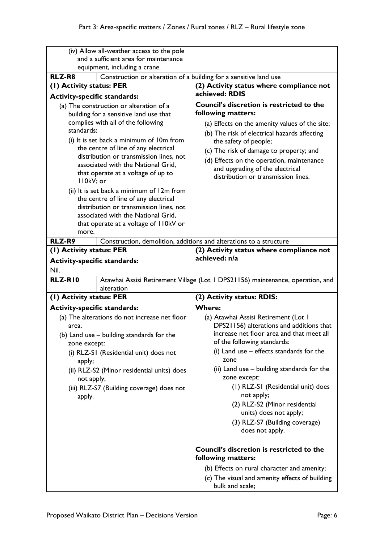| (iv) Allow all-weather access to the pole<br>and a sufficient area for maintenance |                                                                                                               |
|------------------------------------------------------------------------------------|---------------------------------------------------------------------------------------------------------------|
| equipment, including a crane.                                                      |                                                                                                               |
| RLZ-R8<br>Construction or alteration of a building for a sensitive land use        |                                                                                                               |
| (1) Activity status: PER                                                           | (2) Activity status where compliance not                                                                      |
| <b>Activity-specific standards:</b>                                                | achieved: RDIS                                                                                                |
| (a) The construction or alteration of a                                            | <b>Council's discretion is restricted to the</b>                                                              |
| building for a sensitive land use that                                             | following matters:                                                                                            |
| complies with all of the following                                                 | (a) Effects on the amenity values of the site;                                                                |
| standards:                                                                         | (b) The risk of electrical hazards affecting                                                                  |
| (i) It is set back a minimum of 10m from                                           | the safety of people;                                                                                         |
| the centre of line of any electrical<br>distribution or transmission lines, not    | (c) The risk of damage to property; and                                                                       |
| associated with the National Grid,                                                 | (d) Effects on the operation, maintenance                                                                     |
| that operate at a voltage of up to                                                 | and upgrading of the electrical                                                                               |
| II0kV; or                                                                          | distribution or transmission lines.                                                                           |
| (ii) It is set back a minimum of 12m from                                          |                                                                                                               |
| the centre of line of any electrical                                               |                                                                                                               |
| distribution or transmission lines, not                                            |                                                                                                               |
| associated with the National Grid,<br>that operate at a voltage of I IOkV or       |                                                                                                               |
| more.                                                                              |                                                                                                               |
| RLZ-R9                                                                             | Construction, demolition, additions and alterations to a structure                                            |
| (1) Activity status: PER                                                           | (2) Activity status where compliance not                                                                      |
| <b>Activity-specific standards:</b>                                                | achieved: n/a                                                                                                 |
| Nil.                                                                               |                                                                                                               |
| RLZ-RIO<br>alteration                                                              | Atawhai Assisi Retirement Village (Lot 1 DPS21156) maintenance, operation, and                                |
| (I) Activity status: PER                                                           | (2) Activity status: RDIS:                                                                                    |
| <b>Activity-specific standards:</b>                                                | <b>Where:</b>                                                                                                 |
| (a) The alterations do not increase net floor                                      | (a) Atawhai Assisi Retirement (Lot I                                                                          |
| area.                                                                              | DPS21156) alterations and additions that                                                                      |
| (b) Land use - building standards for the                                          | increase net floor area and that meet all                                                                     |
| zone except:                                                                       | of the following standards:                                                                                   |
| (i) RLZ-SI (Residential unit) does not                                             | zone                                                                                                          |
|                                                                                    | (ii) Land use – building standards for the                                                                    |
| not apply;                                                                         | zone except:                                                                                                  |
| (iii) RLZ-S7 (Building coverage) does not                                          | (1) RLZ-SI (Residential unit) does                                                                            |
|                                                                                    |                                                                                                               |
|                                                                                    | units) does not apply;                                                                                        |
|                                                                                    | (3) RLZ-S7 (Building coverage)                                                                                |
|                                                                                    | does not apply.                                                                                               |
|                                                                                    | <b>Council's discretion is restricted to the</b>                                                              |
|                                                                                    |                                                                                                               |
|                                                                                    |                                                                                                               |
|                                                                                    | (b) Effects on rural character and amenity;<br>(c) The visual and amenity effects of building                 |
| apply;<br>(ii) RLZ-S2 (Minor residential units) does<br>apply.                     | (i) Land use - effects standards for the<br>not apply;<br>(2) RLZ-S2 (Minor residential<br>following matters: |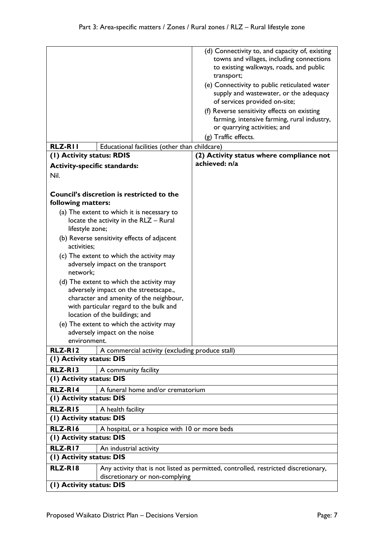|                                                                                                                                                                                                          | (d) Connectivity to, and capacity of, existing<br>towns and villages, including connections<br>to existing walkways, roads, and public<br>transport;<br>(e) Connectivity to public reticulated water<br>supply and wastewater, or the adequacy<br>of services provided on-site;<br>(f) Reverse sensitivity effects on existing<br>farming, intensive farming, rural industry,<br>or quarrying activities; and<br>(g) Traffic effects. |  |
|----------------------------------------------------------------------------------------------------------------------------------------------------------------------------------------------------------|---------------------------------------------------------------------------------------------------------------------------------------------------------------------------------------------------------------------------------------------------------------------------------------------------------------------------------------------------------------------------------------------------------------------------------------|--|
| <b>RLZ-RII</b><br>Educational facilities (other than childcare)<br>(1) Activity status: RDIS                                                                                                             | (2) Activity status where compliance not                                                                                                                                                                                                                                                                                                                                                                                              |  |
| <b>Activity-specific standards:</b>                                                                                                                                                                      | achieved: n/a                                                                                                                                                                                                                                                                                                                                                                                                                         |  |
| Nil.                                                                                                                                                                                                     |                                                                                                                                                                                                                                                                                                                                                                                                                                       |  |
|                                                                                                                                                                                                          |                                                                                                                                                                                                                                                                                                                                                                                                                                       |  |
| Council's discretion is restricted to the<br>following matters:                                                                                                                                          |                                                                                                                                                                                                                                                                                                                                                                                                                                       |  |
| (a) The extent to which it is necessary to                                                                                                                                                               |                                                                                                                                                                                                                                                                                                                                                                                                                                       |  |
| locate the activity in the RLZ - Rural<br>lifestyle zone;                                                                                                                                                |                                                                                                                                                                                                                                                                                                                                                                                                                                       |  |
| (b) Reverse sensitivity effects of adjacent<br>activities;                                                                                                                                               |                                                                                                                                                                                                                                                                                                                                                                                                                                       |  |
| (c) The extent to which the activity may<br>adversely impact on the transport<br>network;                                                                                                                |                                                                                                                                                                                                                                                                                                                                                                                                                                       |  |
| (d) The extent to which the activity may<br>adversely impact on the streetscape.,<br>character and amenity of the neighbour,<br>with particular regard to the bulk and<br>location of the buildings; and |                                                                                                                                                                                                                                                                                                                                                                                                                                       |  |
| (e) The extent to which the activity may                                                                                                                                                                 |                                                                                                                                                                                                                                                                                                                                                                                                                                       |  |
| adversely impact on the noise                                                                                                                                                                            |                                                                                                                                                                                                                                                                                                                                                                                                                                       |  |
| environment.                                                                                                                                                                                             |                                                                                                                                                                                                                                                                                                                                                                                                                                       |  |
| RLZ-RI2<br>A commercial activity (excluding produce stall)<br>(I) Activity status: DIS                                                                                                                   |                                                                                                                                                                                                                                                                                                                                                                                                                                       |  |
| RLZ-RI3                                                                                                                                                                                                  |                                                                                                                                                                                                                                                                                                                                                                                                                                       |  |
| A community facility<br>(I) Activity status: DIS                                                                                                                                                         |                                                                                                                                                                                                                                                                                                                                                                                                                                       |  |
| RLZ-RI4<br>A funeral home and/or crematorium                                                                                                                                                             |                                                                                                                                                                                                                                                                                                                                                                                                                                       |  |
| (I) Activity status: DIS                                                                                                                                                                                 |                                                                                                                                                                                                                                                                                                                                                                                                                                       |  |
| RLZ-RI5<br>A health facility                                                                                                                                                                             |                                                                                                                                                                                                                                                                                                                                                                                                                                       |  |
| (1) Activity status: DIS                                                                                                                                                                                 |                                                                                                                                                                                                                                                                                                                                                                                                                                       |  |
| RLZ-RI6<br>A hospital, or a hospice with 10 or more beds                                                                                                                                                 |                                                                                                                                                                                                                                                                                                                                                                                                                                       |  |
| (I) Activity status: DIS                                                                                                                                                                                 |                                                                                                                                                                                                                                                                                                                                                                                                                                       |  |
| RLZ-RI7<br>An industrial activity                                                                                                                                                                        |                                                                                                                                                                                                                                                                                                                                                                                                                                       |  |
| (1) Activity status: DIS                                                                                                                                                                                 |                                                                                                                                                                                                                                                                                                                                                                                                                                       |  |
| RLZ-RI8<br>Any activity that is not listed as permitted, controlled, restricted discretionary,<br>discretionary or non-complying                                                                         |                                                                                                                                                                                                                                                                                                                                                                                                                                       |  |
| (I) Activity status: DIS                                                                                                                                                                                 |                                                                                                                                                                                                                                                                                                                                                                                                                                       |  |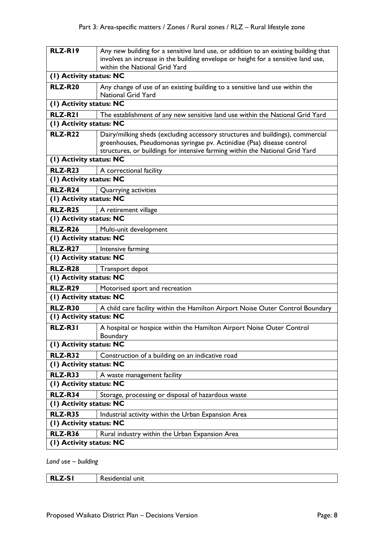| RLZ-RI9                 | Any new building for a sensitive land use, or addition to an existing building that<br>involves an increase in the building envelope or height for a sensitive land use, |
|-------------------------|--------------------------------------------------------------------------------------------------------------------------------------------------------------------------|
|                         | within the National Grid Yard                                                                                                                                            |
| (1) Activity status: NC |                                                                                                                                                                          |
| <b>RLZ-R20</b>          | Any change of use of an existing building to a sensitive land use within the<br><b>National Grid Yard</b>                                                                |
| (I) Activity status: NC |                                                                                                                                                                          |
| RLZ-R21                 | The establishment of any new sensitive land use within the National Grid Yard                                                                                            |
| (I) Activity status: NC |                                                                                                                                                                          |
| <b>RLZ-R22</b>          | Dairy/milking sheds (excluding accessory structures and buildings), commercial<br>greenhouses, Pseudomonas syringae pv. Actinidiae (Psa) disease control                 |
|                         | structures, or buildings for intensive farming within the National Grid Yard                                                                                             |
| (I) Activity status: NC |                                                                                                                                                                          |
| <b>RLZ-R23</b>          | A correctional facility                                                                                                                                                  |
| (I) Activity status: NC |                                                                                                                                                                          |
| <b>RLZ-R24</b>          | Quarrying activities                                                                                                                                                     |
| (I) Activity status: NC |                                                                                                                                                                          |
| <b>RLZ-R25</b>          | A retirement village                                                                                                                                                     |
| (I) Activity status: NC |                                                                                                                                                                          |
| <b>RLZ-R26</b>          | Multi-unit development                                                                                                                                                   |
| (I) Activity status: NC |                                                                                                                                                                          |
| <b>RLZ-R27</b>          | Intensive farming                                                                                                                                                        |
| (I) Activity status: NC |                                                                                                                                                                          |
| <b>RLZ-R28</b>          | Transport depot                                                                                                                                                          |
| (I) Activity status: NC |                                                                                                                                                                          |
| <b>RLZ-R29</b>          | Motorised sport and recreation                                                                                                                                           |
| (I) Activity status: NC |                                                                                                                                                                          |
| <b>RLZ-R30</b>          | A child care facility within the Hamilton Airport Noise Outer Control Boundary                                                                                           |
| (1) Activity status: NC |                                                                                                                                                                          |
| <b>RLZ-R31</b>          | A hospital or hospice within the Hamilton Airport Noise Outer Control<br>Boundary                                                                                        |
| (1) Activity status: NC |                                                                                                                                                                          |
| <b>RLZ-R32</b>          | Construction of a building on an indicative road                                                                                                                         |
| (1) Activity status: NC |                                                                                                                                                                          |
| <b>RLZ-R33</b>          | A waste management facility                                                                                                                                              |
| (I) Activity status: NC |                                                                                                                                                                          |
| <b>RLZ-R34</b>          | Storage, processing or disposal of hazardous waste                                                                                                                       |
| (1) Activity status: NC |                                                                                                                                                                          |
| <b>RLZ-R35</b>          | Industrial activity within the Urban Expansion Area                                                                                                                      |
| (I) Activity status: NC |                                                                                                                                                                          |
| <b>RLZ-R36</b>          | Rural industry within the Urban Expansion Area                                                                                                                           |
| (I) Activity status: NC |                                                                                                                                                                          |
|                         |                                                                                                                                                                          |

*Land use – building*

| <b>RLZ-SI</b> | Residential unit |
|---------------|------------------|
|---------------|------------------|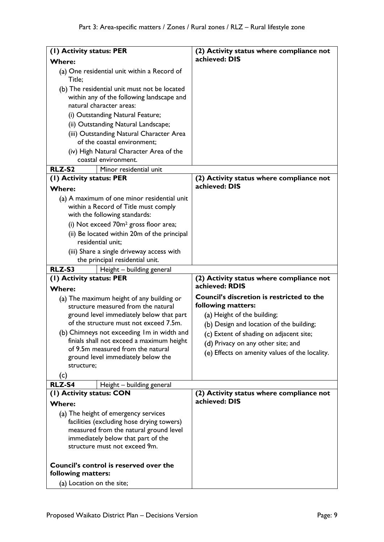| (1) Activity status: PER                                         | (2) Activity status where compliance not                  |
|------------------------------------------------------------------|-----------------------------------------------------------|
| <b>Where:</b>                                                    | achieved: DIS                                             |
| (a) One residential unit within a Record of<br>Title;            |                                                           |
| (b) The residential unit must not be located                     |                                                           |
| within any of the following landscape and                        |                                                           |
| natural character areas:                                         |                                                           |
| (i) Outstanding Natural Feature;                                 |                                                           |
| (ii) Outstanding Natural Landscape;                              |                                                           |
| (iii) Outstanding Natural Character Area                         |                                                           |
| of the coastal environment;                                      |                                                           |
| (iv) High Natural Character Area of the                          |                                                           |
| coastal environment.                                             |                                                           |
| Minor residential unit<br>RLZ-S2                                 |                                                           |
| (I) Activity status: PER                                         | (2) Activity status where compliance not<br>achieved: DIS |
| <b>Where:</b>                                                    |                                                           |
| (a) A maximum of one minor residential unit                      |                                                           |
| within a Record of Title must comply                             |                                                           |
| with the following standards:                                    |                                                           |
| (i) Not exceed 70m <sup>2</sup> gross floor area;                |                                                           |
| (ii) Be located within 20m of the principal<br>residential unit; |                                                           |
| (iii) Share a single driveway access with                        |                                                           |
| the principal residential unit.                                  |                                                           |
| RLZ-S3<br>Height - building general<br>(1) Activity status: PER  | (2) Activity status where compliance not                  |
|                                                                  |                                                           |
| <b>Where:</b>                                                    | achieved: RDIS                                            |
| (a) The maximum height of any building or                        | Council's discretion is restricted to the                 |
| structure measured from the natural                              | following matters:                                        |
| ground level immediately below that part                         | (a) Height of the building;                               |
| of the structure must not exceed 7.5m.                           | (b) Design and location of the building;                  |
| (b) Chimneys not exceeding Im in width and                       | (c) Extent of shading on adjacent site;                   |
| finials shall not exceed a maximum height                        | (d) Privacy on any other site; and                        |
| of 9.5m measured from the natural                                | (e) Effects on amenity values of the locality.            |
| ground level immediately below the<br>structure;                 |                                                           |
|                                                                  |                                                           |
| (c)<br><b>RLZ-S4</b>                                             |                                                           |
| Height - building general<br>(I) Activity status: CON            | (2) Activity status where compliance not                  |
| <b>Where:</b>                                                    | achieved: DIS                                             |
| (a) The height of emergency services                             |                                                           |
| facilities (excluding hose drying towers)                        |                                                           |
| measured from the natural ground level                           |                                                           |
| immediately below that part of the                               |                                                           |
| structure must not exceed 9m.                                    |                                                           |
| Council's control is reserved over the                           |                                                           |
| following matters:<br>(a) Location on the site;                  |                                                           |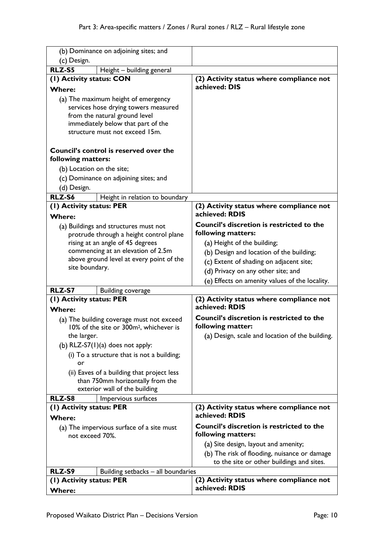| (b) Dominance on adjoining sites; and                        |                                                                                                  |                                                                        |
|--------------------------------------------------------------|--------------------------------------------------------------------------------------------------|------------------------------------------------------------------------|
| (c) Design.                                                  |                                                                                                  |                                                                        |
| <b>RLZ-S5</b>                                                | Height - building general                                                                        |                                                                        |
| (I) Activity status: CON                                     |                                                                                                  | (2) Activity status where compliance not                               |
| <b>Where:</b>                                                |                                                                                                  | achieved: DIS                                                          |
| (a) The maximum height of emergency                          |                                                                                                  |                                                                        |
|                                                              | services hose drying towers measured                                                             |                                                                        |
|                                                              | from the natural ground level                                                                    |                                                                        |
|                                                              | immediately below that part of the                                                               |                                                                        |
|                                                              | structure must not exceed 15m.                                                                   |                                                                        |
|                                                              |                                                                                                  |                                                                        |
|                                                              | Council's control is reserved over the                                                           |                                                                        |
| following matters:                                           |                                                                                                  |                                                                        |
| (b) Location on the site;                                    |                                                                                                  |                                                                        |
|                                                              | (c) Dominance on adjoining sites; and                                                            |                                                                        |
| (d) Design.                                                  |                                                                                                  |                                                                        |
|                                                              |                                                                                                  |                                                                        |
| RLZ-S6                                                       | Height in relation to boundary                                                                   |                                                                        |
| (I) Activity status: PER<br><b>Where:</b>                    |                                                                                                  | (2) Activity status where compliance not<br>achieved: RDIS             |
|                                                              | (a) Buildings and structures must not                                                            | <b>Council's discretion is restricted to the</b>                       |
|                                                              | protrude through a height control plane                                                          | following matters:                                                     |
|                                                              | rising at an angle of 45 degrees                                                                 | (a) Height of the building;                                            |
|                                                              | commencing at an elevation of 2.5m                                                               | (b) Design and location of the building;                               |
|                                                              | above ground level at every point of the                                                         | (c) Extent of shading on adjacent site;                                |
| site boundary.                                               |                                                                                                  |                                                                        |
|                                                              |                                                                                                  | (d) Privacy on any other site; and                                     |
|                                                              |                                                                                                  | (e) Effects on amenity values of the locality.                         |
| RLZ-S7                                                       | <b>Building coverage</b>                                                                         |                                                                        |
| (I) Activity status: PER                                     |                                                                                                  | (2) Activity status where compliance not                               |
| <b>Where:</b>                                                |                                                                                                  | achieved: RDIS                                                         |
|                                                              | (a) The building coverage must not exceed<br>10% of the site or 300m <sup>2</sup> , whichever is | Council's discretion is restricted to the<br>following matter:         |
| the larger.                                                  |                                                                                                  | (a) Design, scale and location of the building.                        |
|                                                              | (b) $RLZ-S7(1)(a)$ does not apply:                                                               |                                                                        |
|                                                              | (i) To a structure that is not a building;                                                       |                                                                        |
| or                                                           |                                                                                                  |                                                                        |
|                                                              | (ii) Eaves of a building that project less                                                       |                                                                        |
| than 750mm horizontally from the                             |                                                                                                  |                                                                        |
|                                                              | exterior wall of the building                                                                    |                                                                        |
| RLZ-S8                                                       | Impervious surfaces                                                                              |                                                                        |
| (1) Activity status: PER                                     |                                                                                                  | (2) Activity status where compliance not                               |
| <b>Where:</b>                                                |                                                                                                  | achieved: RDIS                                                         |
| (a) The impervious surface of a site must<br>not exceed 70%. |                                                                                                  | <b>Council's discretion is restricted to the</b><br>following matters: |
|                                                              |                                                                                                  | (a) Site design, layout and amenity;                                   |
|                                                              |                                                                                                  | (b) The risk of flooding, nuisance or damage                           |
|                                                              |                                                                                                  | to the site or other buildings and sites.                              |
| RLZ-S9                                                       | Building setbacks - all boundaries                                                               |                                                                        |
|                                                              |                                                                                                  | (2) Activity status where compliance not                               |
| (I) Activity status: PER<br><b>Where:</b>                    |                                                                                                  | achieved: RDIS                                                         |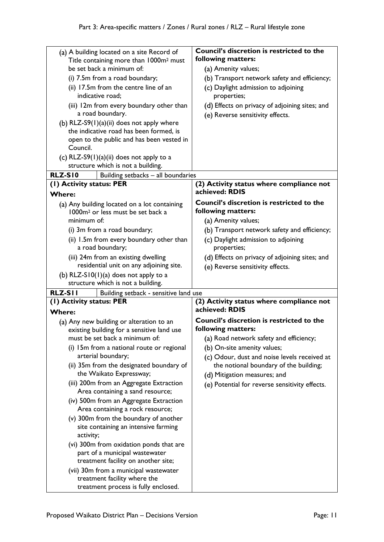| (a) A building located on a site Record of<br>Title containing more than 1000m <sup>2</sup> must | Council's discretion is restricted to the<br>following matters:        |
|--------------------------------------------------------------------------------------------------|------------------------------------------------------------------------|
| be set back a minimum of:                                                                        | (a) Amenity values;                                                    |
| (i) 7.5m from a road boundary;                                                                   | (b) Transport network safety and efficiency;                           |
| (ii) 17.5m from the centre line of an<br>indicative road;                                        | (c) Daylight admission to adjoining<br>properties;                     |
| (iii) 12m from every boundary other than                                                         | (d) Effects on privacy of adjoining sites; and                         |
| a road boundary.                                                                                 | (e) Reverse sensitivity effects.                                       |
| (b) $RLZ-S9(1)(a)(ii)$ does not apply where<br>the indicative road has been formed, is           |                                                                        |
| open to the public and has been vested in                                                        |                                                                        |
| Council.                                                                                         |                                                                        |
| (c) RLZ-S9 $(1)(a)(ii)$ does not apply to a                                                      |                                                                        |
| structure which is not a building.                                                               |                                                                        |
| <b>RLZ-S10</b><br>Building setbacks - all boundaries                                             |                                                                        |
| (I) Activity status: PER                                                                         | (2) Activity status where compliance not                               |
| <b>Where:</b>                                                                                    | achieved: RDIS                                                         |
| (a) Any building located on a lot containing<br>1000m <sup>2</sup> or less must be set back a    | <b>Council's discretion is restricted to the</b><br>following matters: |
| minimum of:                                                                                      | (a) Amenity values;                                                    |
| (i) 3m from a road boundary;                                                                     | (b) Transport network safety and efficiency;                           |
| (ii) 1.5m from every boundary other than<br>a road boundary;                                     | (c) Daylight admission to adjoining<br>properties;                     |
| (iii) 24m from an existing dwelling                                                              | (d) Effects on privacy of adjoining sites; and                         |
| residential unit on any adjoining site.                                                          | (e) Reverse sensitivity effects.                                       |
| (b) RLZ-S10(1)(a) does not apply to a                                                            |                                                                        |
| structure which is not a building.                                                               |                                                                        |
| <b>RLZ-SII</b><br>Building setback - sensitive land use                                          |                                                                        |
| (I) Activity status: PER                                                                         | (2) Activity status where compliance not<br>achieved: RDIS             |
| <b>Where:</b>                                                                                    | <b>Council's discretion is restricted to the</b>                       |
| (a) Any new building or alteration to an<br>existing building for a sensitive land use           | following matters:                                                     |
| must be set back a minimum of:                                                                   | (a) Road network safety and efficiency;                                |
| (i) 15m from a national route or regional                                                        | (b) On-site amenity values;                                            |
| arterial boundary;                                                                               | (c) Odour, dust and noise levels received at                           |
| (ii) 35m from the designated boundary of                                                         | the notional boundary of the building;                                 |
| the Waikato Expressway;                                                                          | (d) Mitigation measures; and                                           |
| (iii) 200m from an Aggregate Extraction<br>Area containing a sand resource;                      | (e) Potential for reverse sensitivity effects.                         |
| (iv) 500m from an Aggregate Extraction<br>Area containing a rock resource;                       |                                                                        |
| (v) 300m from the boundary of another                                                            |                                                                        |
| site containing an intensive farming<br>activity;                                                |                                                                        |
| (vi) 300m from oxidation ponds that are                                                          |                                                                        |
| part of a municipal wastewater                                                                   |                                                                        |
| treatment facility on another site;                                                              |                                                                        |
|                                                                                                  |                                                                        |
| (vii) 30m from a municipal wastewater<br>treatment facility where the                            |                                                                        |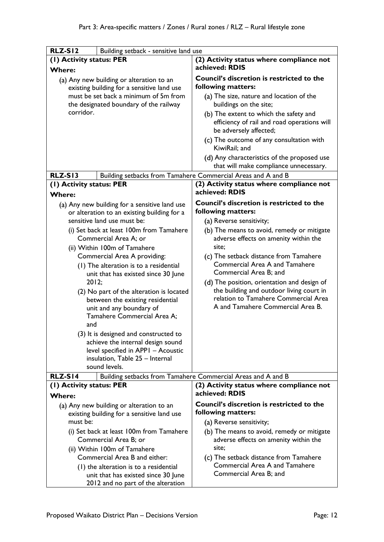| <b>RLZ-S12</b>                                                                      | Building setback - sensitive land use                                   |                                                                                  |
|-------------------------------------------------------------------------------------|-------------------------------------------------------------------------|----------------------------------------------------------------------------------|
| (I) Activity status: PER                                                            |                                                                         | (2) Activity status where compliance not                                         |
| <b>Where:</b>                                                                       |                                                                         | achieved: RDIS                                                                   |
|                                                                                     |                                                                         | <b>Council's discretion is restricted to the</b>                                 |
| (a) Any new building or alteration to an                                            |                                                                         | following matters:                                                               |
| existing building for a sensitive land use<br>must be set back a minimum of 5m from |                                                                         |                                                                                  |
|                                                                                     |                                                                         | (a) The size, nature and location of the                                         |
| corridor.                                                                           | the designated boundary of the railway                                  | buildings on the site;                                                           |
|                                                                                     |                                                                         | (b) The extent to which the safety and                                           |
|                                                                                     |                                                                         | efficiency of rail and road operations will                                      |
|                                                                                     |                                                                         | be adversely affected;                                                           |
|                                                                                     |                                                                         | (c) The outcome of any consultation with<br>KiwiRail; and                        |
|                                                                                     |                                                                         | (d) Any characteristics of the proposed use                                      |
|                                                                                     |                                                                         | that will make compliance unnecessary.                                           |
| <b>RLZ-S13</b>                                                                      |                                                                         | Building setbacks from Tamahere Commercial Areas and A and B                     |
| (1) Activity status: PER                                                            |                                                                         | (2) Activity status where compliance not                                         |
|                                                                                     |                                                                         | achieved: RDIS                                                                   |
| <b>Where:</b>                                                                       |                                                                         |                                                                                  |
|                                                                                     | (a) Any new building for a sensitive land use                           | <b>Council's discretion is restricted to the</b>                                 |
|                                                                                     | or alteration to an existing building for a                             | following matters:                                                               |
|                                                                                     | sensitive land use must be:                                             | (a) Reverse sensitivity;                                                         |
|                                                                                     | (i) Set back at least 100m from Tamahere                                | (b) The means to avoid, remedy or mitigate                                       |
|                                                                                     | Commercial Area A; or                                                   | adverse effects on amenity within the                                            |
|                                                                                     | (ii) Within 100m of Tamahere                                            | site:                                                                            |
|                                                                                     | Commercial Area A providing:                                            | (c) The setback distance from Tamahere                                           |
|                                                                                     | (1) The alteration is to a residential                                  | <b>Commercial Area A and Tamahere</b>                                            |
|                                                                                     | unit that has existed since 30 June                                     | Commercial Area B; and                                                           |
| 2012;                                                                               |                                                                         | (d) The position, orientation and design of                                      |
|                                                                                     | (2) No part of the alteration is located                                | the building and outdoor living court in<br>relation to Tamahere Commercial Area |
|                                                                                     | between the existing residential                                        | A and Tamahere Commercial Area B.                                                |
|                                                                                     | unit and any boundary of                                                |                                                                                  |
|                                                                                     | Tamahere Commercial Area A;                                             |                                                                                  |
| and                                                                                 |                                                                         |                                                                                  |
|                                                                                     | (3) It is designed and constructed to                                   |                                                                                  |
|                                                                                     | achieve the internal design sound<br>level specified in APPI - Acoustic |                                                                                  |
|                                                                                     | insulation, Table 25 - Internal                                         |                                                                                  |
|                                                                                     | sound levels.                                                           |                                                                                  |
| <b>RLZ-S14</b>                                                                      |                                                                         | Building setbacks from Tamahere Commercial Areas and A and B                     |
| (1) Activity status: PER                                                            |                                                                         | (2) Activity status where compliance not                                         |
| Where:                                                                              |                                                                         | achieved: RDIS                                                                   |
|                                                                                     | (a) Any new building or alteration to an                                | <b>Council's discretion is restricted to the</b>                                 |
|                                                                                     | existing building for a sensitive land use                              | following matters:                                                               |
| must be:                                                                            |                                                                         | (a) Reverse sensitivity;                                                         |
| (i) Set back at least 100m from Tamahere                                            |                                                                         | (b) The means to avoid, remedy or mitigate                                       |
|                                                                                     | Commercial Area B; or                                                   | adverse effects on amenity within the                                            |
| (ii) Within 100m of Tamahere                                                        |                                                                         | site;                                                                            |
|                                                                                     | Commercial Area B and either:                                           | (c) The setback distance from Tamahere                                           |
| (1) the alteration is to a residential                                              |                                                                         | <b>Commercial Area A and Tamahere</b>                                            |
| unit that has existed since 30 June                                                 |                                                                         | Commercial Area B; and                                                           |
| 2012 and no part of the alteration                                                  |                                                                         |                                                                                  |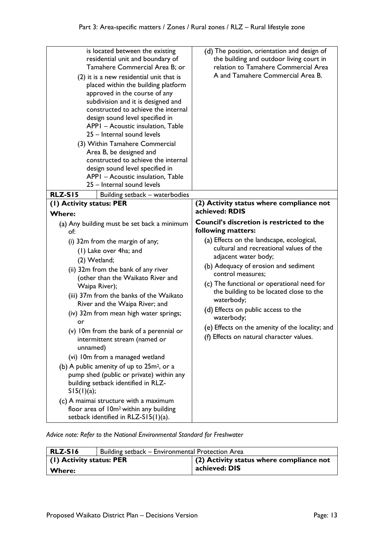| is located between the existing<br>residential unit and boundary of<br>Tamahere Commercial Area B; or<br>(2) it is a new residential unit that is<br>placed within the building platform<br>approved in the course of any<br>subdivision and it is designed and<br>constructed to achieve the internal<br>design sound level specified in<br>APPI - Acoustic insulation, Table<br>25 - Internal sound levels<br>(3) Within Tamahere Commercial<br>Area B, be designed and<br>constructed to achieve the internal<br>design sound level specified in<br>APPI - Acoustic insulation, Table<br>25 - Internal sound levels                                                                                                                                                                | (d) The position, orientation and design of<br>the building and outdoor living court in<br>relation to Tamahere Commercial Area<br>A and Tamahere Commercial Area B.                                                                                                                                                                                                                                                                                                                                           |
|---------------------------------------------------------------------------------------------------------------------------------------------------------------------------------------------------------------------------------------------------------------------------------------------------------------------------------------------------------------------------------------------------------------------------------------------------------------------------------------------------------------------------------------------------------------------------------------------------------------------------------------------------------------------------------------------------------------------------------------------------------------------------------------|----------------------------------------------------------------------------------------------------------------------------------------------------------------------------------------------------------------------------------------------------------------------------------------------------------------------------------------------------------------------------------------------------------------------------------------------------------------------------------------------------------------|
| <b>RLZ-S15</b><br>Building setback - waterbodies                                                                                                                                                                                                                                                                                                                                                                                                                                                                                                                                                                                                                                                                                                                                      |                                                                                                                                                                                                                                                                                                                                                                                                                                                                                                                |
| (1) Activity status: PER                                                                                                                                                                                                                                                                                                                                                                                                                                                                                                                                                                                                                                                                                                                                                              | (2) Activity status where compliance not<br>achieved: RDIS                                                                                                                                                                                                                                                                                                                                                                                                                                                     |
| <b>Where:</b>                                                                                                                                                                                                                                                                                                                                                                                                                                                                                                                                                                                                                                                                                                                                                                         |                                                                                                                                                                                                                                                                                                                                                                                                                                                                                                                |
| (a) Any building must be set back a minimum<br>of:<br>(i) 32m from the margin of any;<br>(1) Lake over 4ha; and<br>(2) Wetland;<br>(ii) 32m from the bank of any river<br>(other than the Waikato River and<br>Waipa River);<br>(iii) 37m from the banks of the Waikato<br>River and the Waipa River; and<br>(iv) 32m from mean high water springs;<br>or<br>(v) 10m from the bank of a perennial or<br>intermittent stream (named or<br>unnamed)<br>(vi) 10m from a managed wetland<br>(b) A public amenity of up to 25m <sup>2</sup> , or a<br>pump shed (public or private) within any<br>building setback identified in RLZ-<br>SI5(1)(a);<br>(c) A maimai structure with a maximum<br>floor area of 10m <sup>2</sup> within any building<br>setback identified in RLZ-S15(1)(a). | <b>Council's discretion is restricted to the</b><br>following matters:<br>(a) Effects on the landscape, ecological,<br>cultural and recreational values of the<br>adjacent water body;<br>(b) Adequacy of erosion and sediment<br>control measures;<br>(c) The functional or operational need for<br>the building to be located close to the<br>waterbody;<br>(d) Effects on public access to the<br>waterbody;<br>(e) Effects on the amenity of the locality; and<br>(f) Effects on natural character values. |

*Advice note: Refer to the National Environmental Standard for Freshwater*

| RLZ-S16                  | Building setback - Environmental Protection Area |                                                  |
|--------------------------|--------------------------------------------------|--------------------------------------------------|
| (1) Activity status: PER |                                                  | $\vert$ (2) Activity status where compliance not |
| <b>Where:</b>            |                                                  | achieved: DIS                                    |